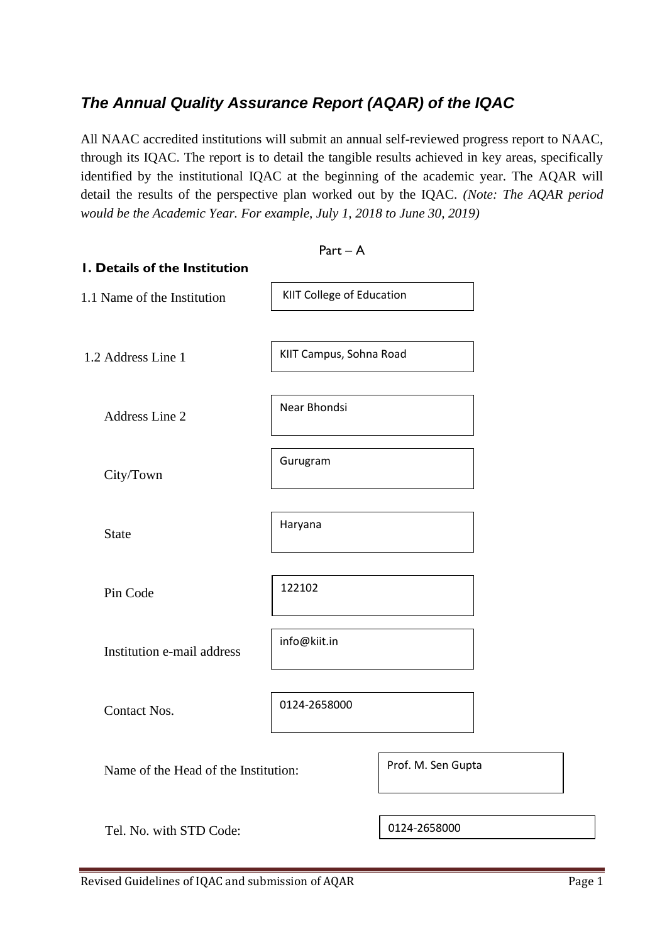# *The Annual Quality Assurance Report (AQAR) of the IQAC*

All NAAC accredited institutions will submit an annual self-reviewed progress report to NAAC, through its IQAC. The report is to detail the tangible results achieved in key areas, specifically identified by the institutional IQAC at the beginning of the academic year. The AQAR will detail the results of the perspective plan worked out by the IQAC. *(Note: The AQAR period would be the Academic Year. For example, July 1, 2018 to June 30, 2019)*

|                                      | $Part - A$                |                    |
|--------------------------------------|---------------------------|--------------------|
| I. Details of the Institution        |                           |                    |
| 1.1 Name of the Institution          | KIIT College of Education |                    |
| 1.2 Address Line 1                   | KIIT Campus, Sohna Road   |                    |
| Address Line 2                       | Near Bhondsi              |                    |
| City/Town                            | Gurugram                  |                    |
| <b>State</b>                         | Haryana                   |                    |
| Pin Code                             | 122102                    |                    |
| Institution e-mail address           | info@kiit.in              |                    |
| <b>Contact Nos.</b>                  | 0124-2658000              |                    |
| Name of the Head of the Institution: |                           | Prof. M. Sen Gupta |
| Tel. No. with STD Code:              |                           | 0124-2658000       |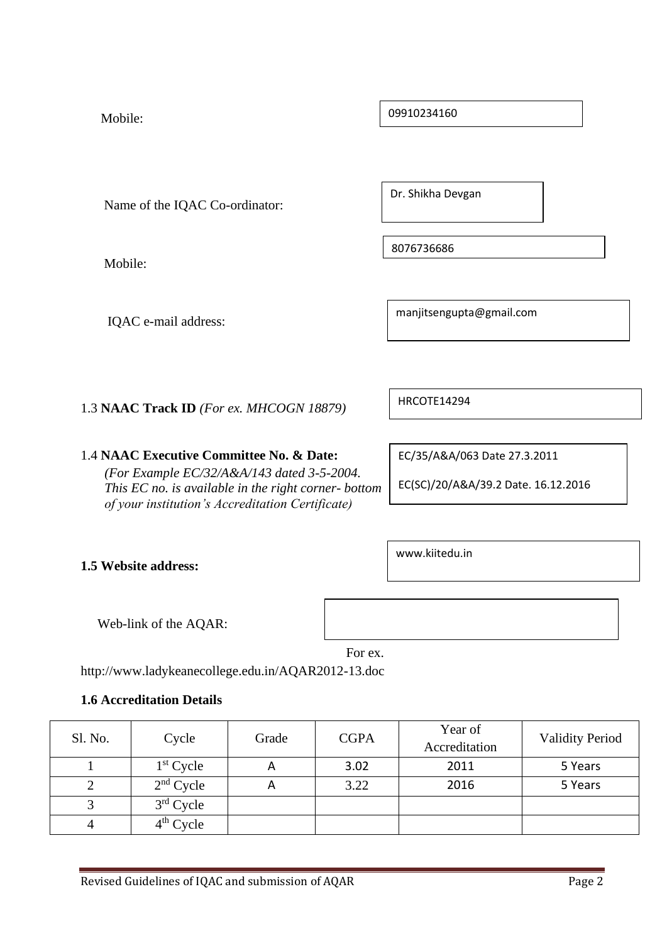Mobile:

Name of the IQAC Co-ordinator:

Mobile:

IQAC e-mail address:

manjitsengupta@gmail.com

1.3 **NAAC Track ID** *(For ex. MHCOGN 18879)*

1.4 **NAAC Executive Committee No. & Date:**

*(For Example EC/32/A&A/143 dated 3-5-2004. This EC no. is available in the right corner- bottom of your institution's Accreditation Certificate)*

EC/35/A&A/063 Date 27.3.2011

EC(SC)/20/A&A/39.2 Date. 16.12.2016

**1.5 Website address:**

Web-link of the AQAR:

For ex.

http://www.ladykeanecollege.edu.in/AQAR2012-13.doc

# **1.6 Accreditation Details**

| Sl. No. | Cycle       | Grade | <b>CGPA</b> | Year of<br>Accreditation | <b>Validity Period</b> |
|---------|-------------|-------|-------------|--------------------------|------------------------|
|         | $1st$ Cycle | A     | 3.02        | 2011                     | 5 Years                |
|         | $2nd$ Cycle | A     | 3.22        | 2016                     | 5 Years                |
|         | $3rd$ Cycle |       |             |                          |                        |
|         | $4th$ Cycle |       |             |                          |                        |

09910234160

Dr. Shikha Devgan

8076736686

www.kiitedu.in

HRCOTE14294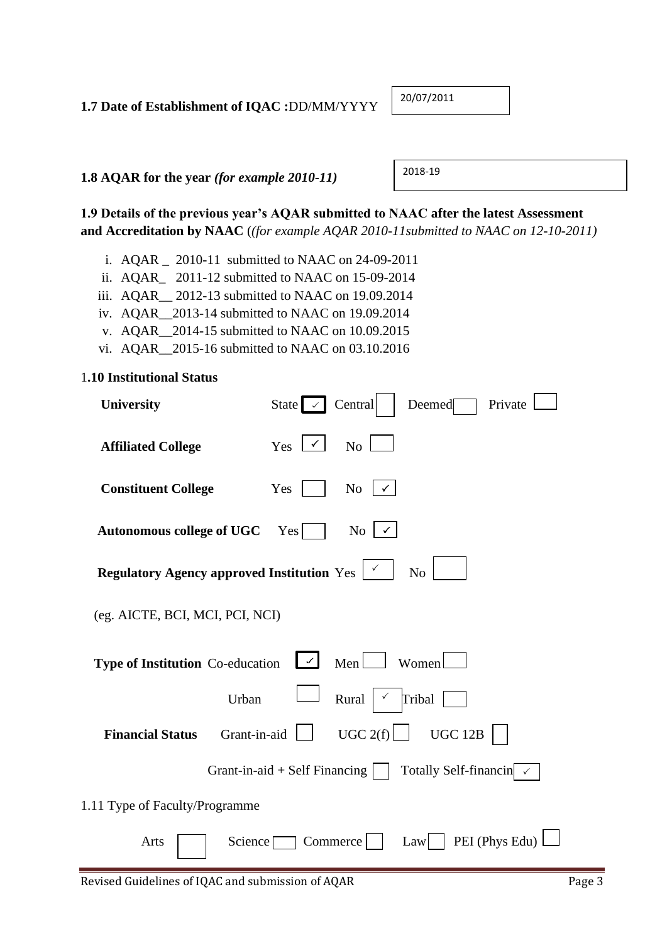# **1.7 Date of Establishment of IQAC :**DD/MM/YYYY

20/07/2011

**1.8 AQAR for the year** *(for example 2010-11)*

2018-19

**1.9 Details of the previous year's AQAR submitted to NAAC after the latest Assessment and Accreditation by NAAC** (*(for example AQAR 2010-11submitted to NAAC on 12-10-2011)*

- i. AQAR \_ 2010-11 submitted to NAAC on 24-09-2011
- ii. AQAR\_ 2011-12 submitted to NAAC on 15-09-2014
- iii. AQAR\_\_ 2012-13 submitted to NAAC on 19.09.2014
- iv. AQAR\_\_2013-14 submitted to NAAC on 19.09.2014
- v. AQAR\_\_2014-15 submitted to NAAC on 10.09.2015
- vi. AQAR\_\_2015-16 submitted to NAAC on 03.10.2016

#### 1**.10 Institutional Status**

| <b>University</b>                                                                           | State $\sim$ Central<br>Deemed<br>Private                                    |
|---------------------------------------------------------------------------------------------|------------------------------------------------------------------------------|
| <b>Affiliated College</b>                                                                   | Yes $\lfloor \checkmark \rfloor$<br>N <sub>o</sub>                           |
| <b>Constituent College</b>                                                                  | $\mathrm{No}$   $\checkmark$<br>Yes                                          |
| <b>Autonomous college of UGC</b>                                                            | N <sub>o</sub><br>Yes                                                        |
| <b>Regulatory Agency approved Institution</b> Yes $\begin{array}{ c c } \hline \end{array}$ | N <sub>o</sub>                                                               |
| (eg. AICTE, BCI, MCI, PCI, NCI)                                                             |                                                                              |
| Type of Institution Co-education                                                            | $\vert \checkmark \vert$<br>Men<br>Women                                     |
| Urban                                                                                       | Rural<br>Tribal                                                              |
| Grant-in-aid<br><b>Financial Status</b>                                                     | UGC $2(f)$<br>UGC 12B                                                        |
|                                                                                             | Grant-in-aid + Self Financing $  \cdot  $<br>Totally Self-financin $\sqrt{}$ |
| 1.11 Type of Faculty/Programme                                                              |                                                                              |
| Science $\Box$<br>Arts                                                                      | PEI (Phys Edu)<br>Commerce<br>Law                                            |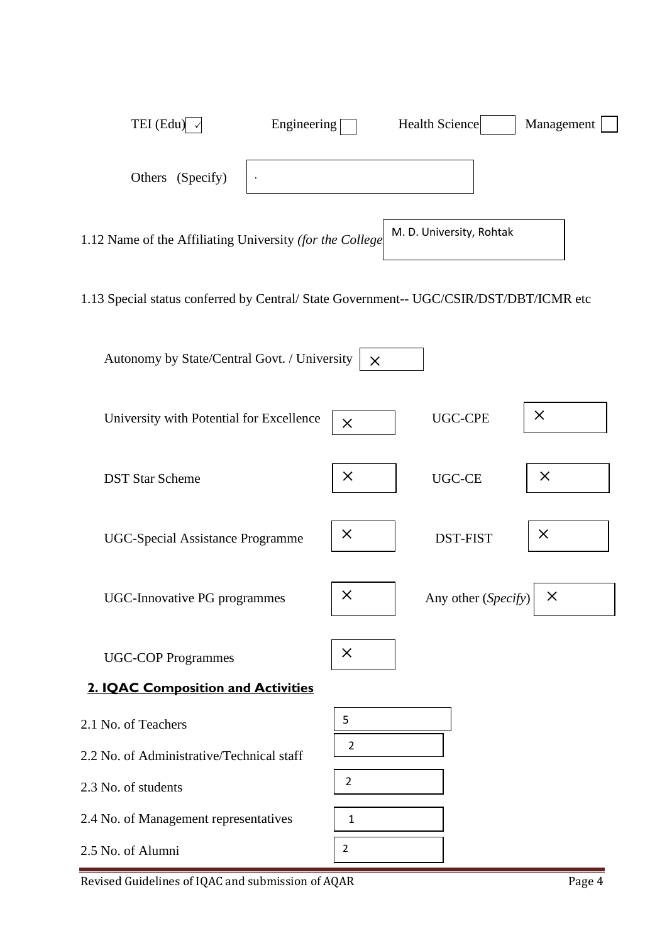

Revised Guidelines of IQAC and submission of AQAR Page 4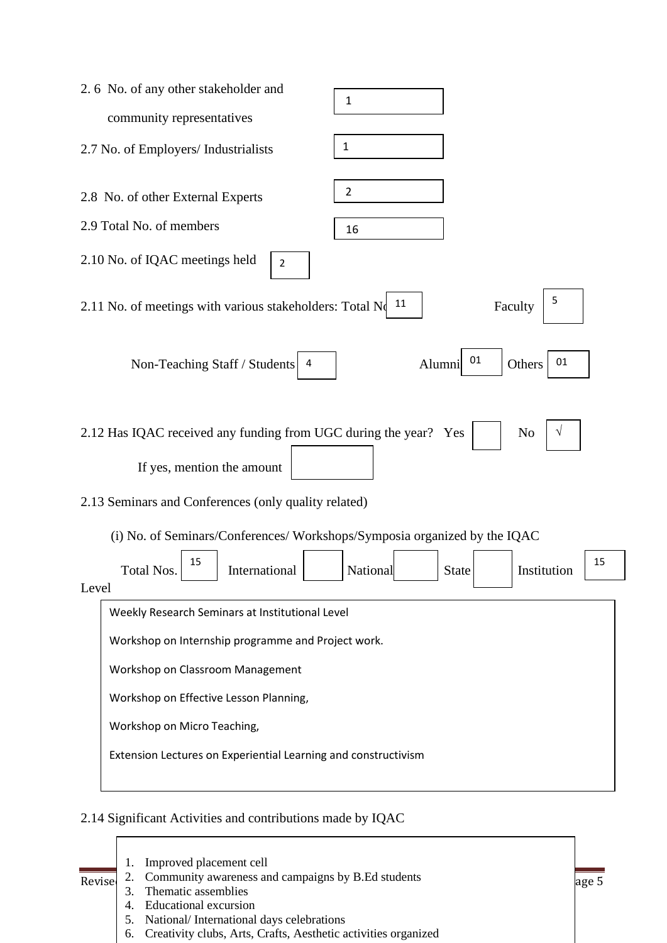| 2.6 No. of any other stakeholder and<br>1                                                                                                                                                                                                                  |
|------------------------------------------------------------------------------------------------------------------------------------------------------------------------------------------------------------------------------------------------------------|
| community representatives                                                                                                                                                                                                                                  |
| 1<br>2.7 No. of Employers/ Industrialists                                                                                                                                                                                                                  |
| $\overline{2}$<br>2.8 No. of other External Experts                                                                                                                                                                                                        |
| 2.9 Total No. of members<br>16                                                                                                                                                                                                                             |
| 2.10 No. of IQAC meetings held<br>2                                                                                                                                                                                                                        |
| 5<br>11<br>2.11 No. of meetings with various stakeholders: Total No<br>Faculty                                                                                                                                                                             |
| 01<br>01<br>Non-Teaching Staff / Students 4<br>Alumni<br>Others                                                                                                                                                                                            |
| 2.12 Has IQAC received any funding from UGC during the year? Yes<br>N <sub>0</sub><br>V<br>If yes, mention the amount<br>2.13 Seminars and Conferences (only quality related)<br>(i) No. of Seminars/Conferences/ Workshops/Symposia organized by the IQAC |
| 15<br>15<br>International<br>National<br>Institution<br>Total Nos.<br><b>State</b>                                                                                                                                                                         |
| Level                                                                                                                                                                                                                                                      |
| Weekly Research Seminars at Institutional Level                                                                                                                                                                                                            |
| Workshop on Internship programme and Project work.                                                                                                                                                                                                         |
| Workshop on Classroom Management                                                                                                                                                                                                                           |
| Workshop on Effective Lesson Planning,                                                                                                                                                                                                                     |
| Workshop on Micro Teaching,                                                                                                                                                                                                                                |
| Extension Lectures on Experiential Learning and constructivism                                                                                                                                                                                             |
|                                                                                                                                                                                                                                                            |

 $\overline{\phantom{a}}$ 

# 2.14 Significant Activities and contributions made by IQAC

| Revise | $\overline{4}$ | Improved placement cell<br>2. Community awareness and campaigns by B.Ed students<br>Thematic assemblies<br><b>Educational excursion</b> | age 5 |
|--------|----------------|-----------------------------------------------------------------------------------------------------------------------------------------|-------|
|        | 5.             | National/International days celebrations<br>6. Creativity clubs, Arts, Crafts, Aesthetic activities organized                           |       |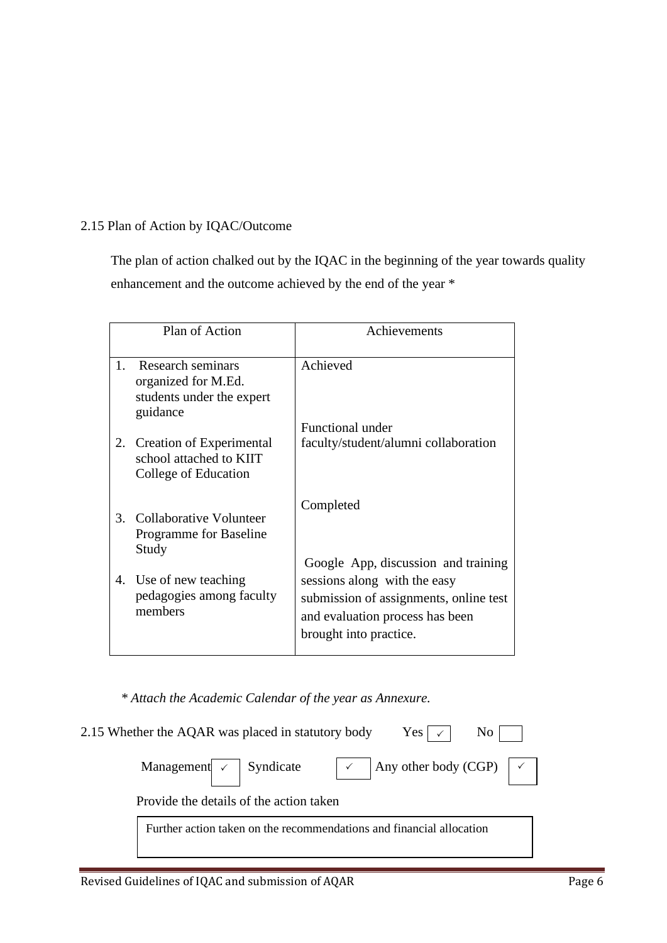### 2.15 Plan of Action by IQAC/Outcome

 The plan of action chalked out by the IQAC in the beginning of the year towards quality enhancement and the outcome achieved by the end of the year \*

|    | Plan of Action                                                                    | Achievements                                                                                                                                                               |
|----|-----------------------------------------------------------------------------------|----------------------------------------------------------------------------------------------------------------------------------------------------------------------------|
| 1. | Research seminars<br>organized for M.Ed.<br>students under the expert<br>guidance | Achieved                                                                                                                                                                   |
|    |                                                                                   | <b>Functional under</b>                                                                                                                                                    |
| 2. | Creation of Experimental<br>school attached to KIIT<br>College of Education       | faculty/student/alumni collaboration                                                                                                                                       |
| 3. | Collaborative Volunteer<br>Programme for Baseline<br>Study                        | Completed                                                                                                                                                                  |
|    | 4. Use of new teaching<br>pedagogies among faculty<br>members                     | Google App, discussion and training<br>sessions along with the easy<br>submission of assignments, online test<br>and evaluation process has been<br>brought into practice. |

 *\* Attach the Academic Calendar of the year as Annexure.*

| 2.15 Whether the AQAR was placed in statutory body Yes $\vert \vee \vert$                             | $\rm No$ |
|-------------------------------------------------------------------------------------------------------|----------|
| Management $\vert \cdot \vert$ Syndicate $\vert \cdot \vert$ Any other body (CGP) $\vert \cdot \vert$ |          |
| Provide the details of the action taken                                                               |          |
| Further action taken on the recommendations and financial allocation                                  |          |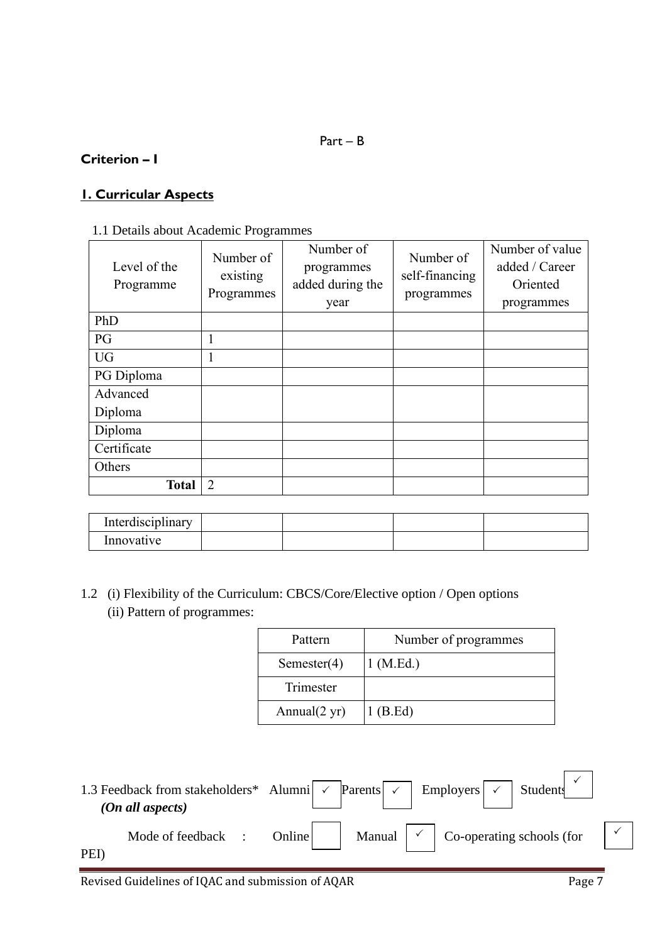# **Criterion – I**

# **1. Curricular Aspects**

| Level of the<br>Programme | Number of<br>existing<br>Programmes | Number of<br>programmes<br>added during the<br>year | Number of<br>self-financing<br>programmes | Number of value<br>added / Career<br>Oriented<br>programmes |
|---------------------------|-------------------------------------|-----------------------------------------------------|-------------------------------------------|-------------------------------------------------------------|
| PhD                       |                                     |                                                     |                                           |                                                             |
| PG                        | 1                                   |                                                     |                                           |                                                             |
| <b>UG</b>                 | 1                                   |                                                     |                                           |                                                             |
| PG Diploma                |                                     |                                                     |                                           |                                                             |
| Advanced                  |                                     |                                                     |                                           |                                                             |
| Diploma                   |                                     |                                                     |                                           |                                                             |
| Diploma                   |                                     |                                                     |                                           |                                                             |
| Certificate               |                                     |                                                     |                                           |                                                             |
| Others                    |                                     |                                                     |                                           |                                                             |
| <b>Total</b>              | $\overline{2}$                      |                                                     |                                           |                                                             |

| . .<br>Interdisciplinary |  |  |
|--------------------------|--|--|
| Innovative               |  |  |

1.2 (i) Flexibility of the Curriculum: CBCS/Core/Elective option / Open options (ii) Pattern of programmes:

| Pattern                 | Number of programmes |
|-------------------------|----------------------|
| Semester $(4)$          | $1$ (M.Ed.)          |
| Trimester               |                      |
| Annual $(2 \text{ yr})$ | $1$ (B.Ed)           |

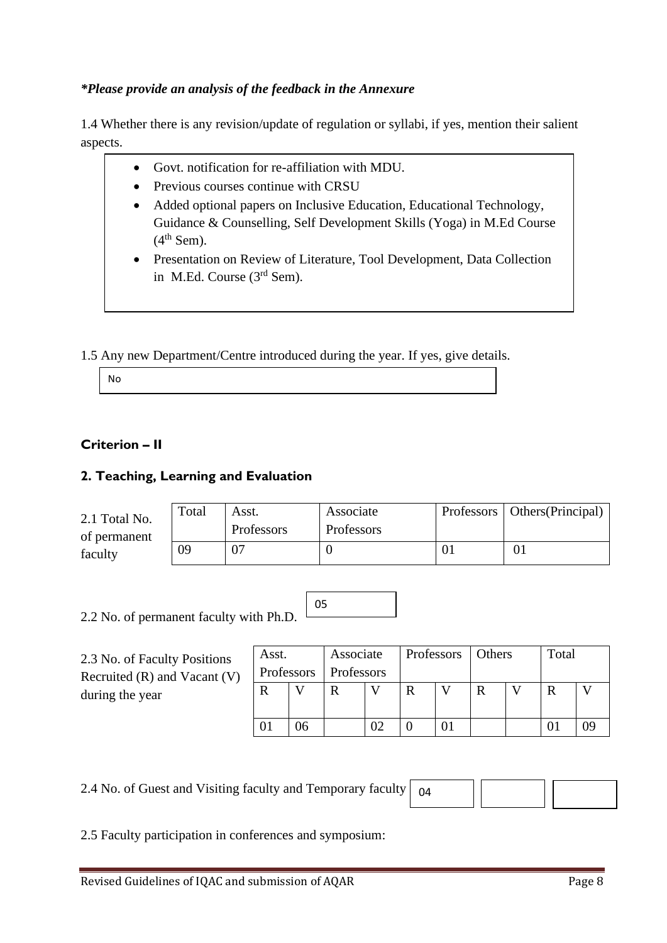# *\*Please provide an analysis of the feedback in the Annexure*

1.4 Whether there is any revision/update of regulation or syllabi, if yes, mention their salient aspects.

- Govt. notification for re-affiliation with MDU.
- Previous courses continue with CRSU
- Added optional papers on Inclusive Education, Educational Technology, Guidance & Counselling, Self Development Skills (Yoga) in M.Ed Course  $(4<sup>th</sup>$  Sem).
- Presentation on Review of Literature, Tool Development, Data Collection in M.Ed. Course (3rd Sem).

1.5 Any new Department/Centre introduced during the year. If yes, give details.

No

# **Criterion – II**

# **2. Teaching, Learning and Evaluation**

| 2.1 Total No.<br>of permanent<br>faculty | Total | Asst.<br>Professors | Associate<br>Professors | Professors   Others (Principal) |
|------------------------------------------|-------|---------------------|-------------------------|---------------------------------|
|                                          | 09    | 07                  |                         | 01                              |

05

2.2 No. of permanent faculty with Ph.D.

2.3 No. of Faculty Positions Recruited (R) and Vacant (V) during the year

| Associate<br>Asst.<br>Professors   Professors |    |  | Professors   Others |   |  |   |  | Total |    |
|-----------------------------------------------|----|--|---------------------|---|--|---|--|-------|----|
|                                               |    |  |                     | R |  | R |  | R     |    |
|                                               | 96 |  | 02                  |   |  |   |  |       | ኅዓ |

2.4 No. of Guest and Visiting faculty and Temporary faculty

04

2.5 Faculty participation in conferences and symposium: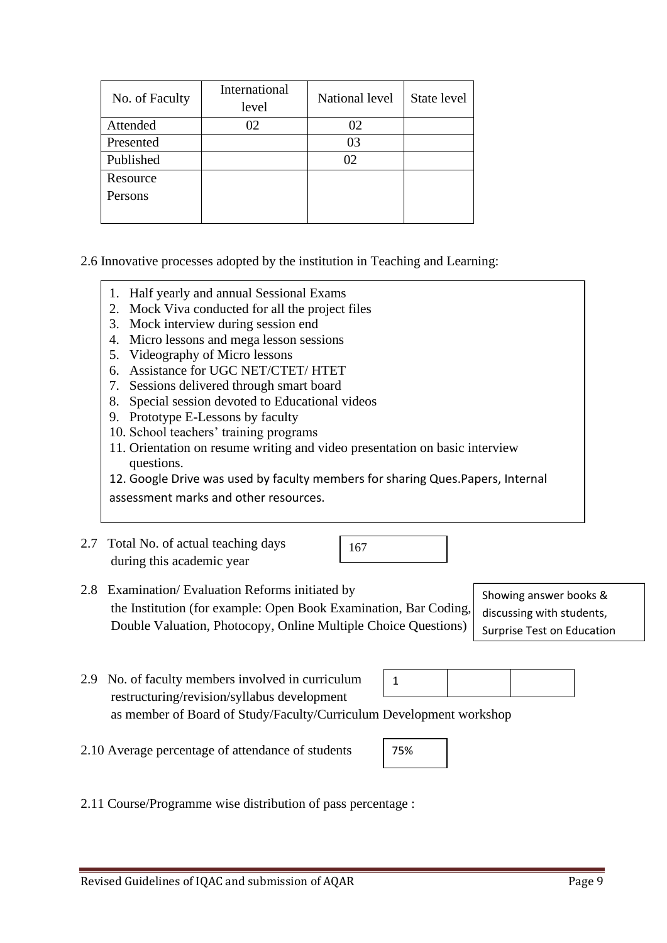| No. of Faculty | International<br>level | National level | State level |
|----------------|------------------------|----------------|-------------|
| Attended       | 02                     | 02             |             |
| Presented      |                        | 03             |             |
| Published      |                        | 02             |             |
| Resource       |                        |                |             |
| Persons        |                        |                |             |
|                |                        |                |             |

#### 2.6 Innovative processes adopted by the institution in Teaching and Learning:

- 1. Half yearly and annual Sessional Exams
- 2. Mock Viva conducted for all the project files
- 3. Mock interview during session end
- 4. Micro lessons and mega lesson sessions
- 5. Videography of Micro lessons
- 6. Assistance for UGC NET/CTET/ HTET
- 7. Sessions delivered through smart board
- 8. Special session devoted to Educational videos
- 9. Prototype E-Lessons by faculty
- 10. School teachers' training programs
- 11. Orientation on resume writing and video presentation on basic interview questions.

12. Google Drive was used by faculty members for sharing Ques.Papers, Internal

assessment marks and other resources.

2.7 Total No. of actual teaching days during this academic year

167

2.8 Examination/ Evaluation Reforms initiated by the Institution (for example: Open Book Examination, Bar Coding, Double Valuation, Photocopy, Online Multiple Choice Questions)

Showing answer books & discussing with students, Surprise Test on Education

- 2.9 No. of faculty members involved in curriculum restructuring/revision/syllabus development as member of Board of Study/Faculty/Curriculum Development workshop 1
- 2.10 Average percentage of attendance of students

75%

2.11 Course/Programme wise distribution of pass percentage :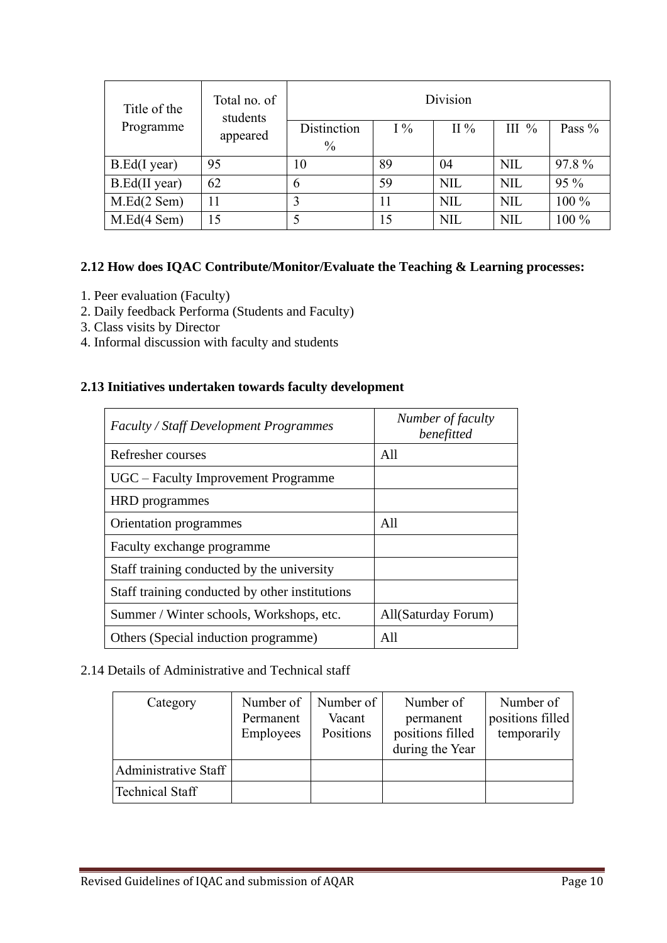| Title of the  | Total no. of<br>students | Division                     |       |            |            |          |  |
|---------------|--------------------------|------------------------------|-------|------------|------------|----------|--|
| Programme     | appeared                 | Distinction<br>$\frac{0}{0}$ | $I\%$ | II %       | III $\%$   | Pass $%$ |  |
| B.Ed(I year)  | 95                       | 10                           | 89    | 04         | <b>NIL</b> | 97.8%    |  |
| B.Ed(II year) | 62                       | 6                            | 59    | <b>NIL</b> | <b>NIL</b> | 95 %     |  |
| M.Ed(2 Sem)   | 11                       | 3                            | 11    | <b>NIL</b> | <b>NIL</b> | 100 %    |  |
| M.Ed(4 Sem)   | 15                       | 5                            | 15    | <b>NIL</b> | <b>NIL</b> | 100 %    |  |

## **2.12 How does IQAC Contribute/Monitor/Evaluate the Teaching & Learning processes:**

- 1. Peer evaluation (Faculty)
- 2. Daily feedback Performa (Students and Faculty)
- 3. Class visits by Director
- 4. Informal discussion with faculty and students

### **2.13 Initiatives undertaken towards faculty development**

| <b>Faculty / Staff Development Programmes</b>  | Number of faculty<br>benefitted |
|------------------------------------------------|---------------------------------|
| Refresher courses                              | A11                             |
| UGC – Faculty Improvement Programme            |                                 |
| <b>HRD</b> programmes                          |                                 |
| Orientation programmes                         | A11                             |
| Faculty exchange programme                     |                                 |
| Staff training conducted by the university     |                                 |
| Staff training conducted by other institutions |                                 |
| Summer / Winter schools, Workshops, etc.       | All(Saturday Forum)             |
| Others (Special induction programme)           | A11                             |

## 2.14 Details of Administrative and Technical staff

| Category             | Number of<br>Permanent<br>Employees | Number of<br>Vacant<br>Positions | Number of<br>permanent<br>positions filled<br>during the Year | Number of<br>positions filled<br>temporarily |
|----------------------|-------------------------------------|----------------------------------|---------------------------------------------------------------|----------------------------------------------|
| Administrative Staff |                                     |                                  |                                                               |                                              |
| Fechnical Staff      |                                     |                                  |                                                               |                                              |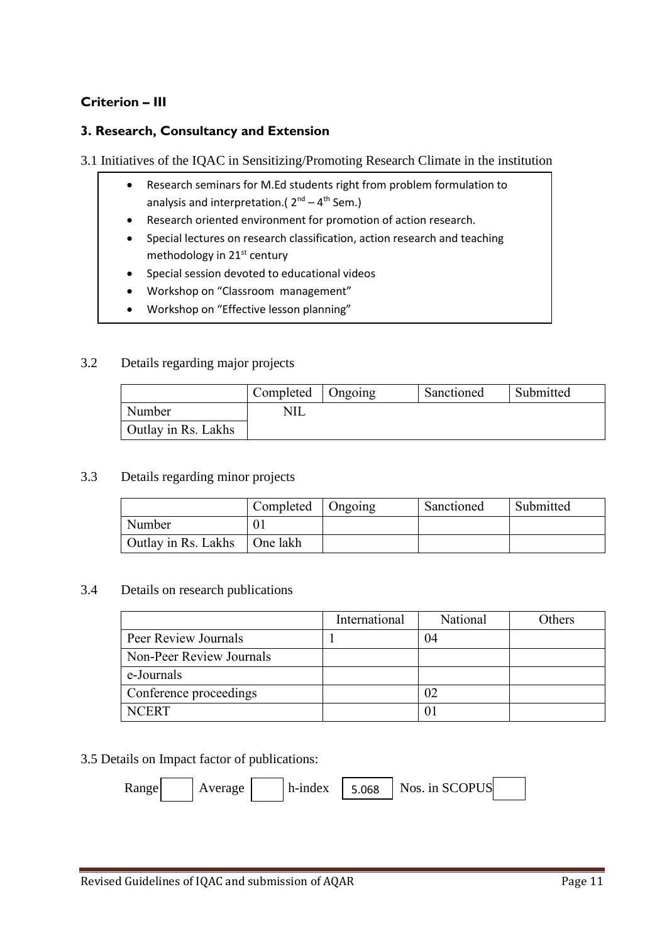# **Criterion – III**

#### **3. Research, Consultancy and Extension**

#### 3.1 Initiatives of the IQAC in Sensitizing/Promoting Research Climate in the institution

- Research seminars for M.Ed students right from problem formulation to analysis and interpretation.(  $2^{nd} - 4^{th}$  Sem.)
- Research oriented environment for promotion of action research.
- Special lectures on research classification, action research and teaching methodology in 21<sup>st</sup> century
- Special session devoted to educational videos
- Workshop on "Classroom management"
- Workshop on "Effective lesson planning"

#### 3.2 Details regarding major projects

|                     | Completed   Ongoing | Sanctioned | Submitted |
|---------------------|---------------------|------------|-----------|
| Number              |                     |            |           |
| Outlay in Rs. Lakhs |                     |            |           |

#### 3.3 Details regarding minor projects

|                     | Completed   Ongoing | Sanctioned | Submitted |
|---------------------|---------------------|------------|-----------|
| Number              |                     |            |           |
| Outlay in Rs. Lakhs | ∣One lakh           |            |           |

#### 3.4 Details on research publications

|                          | International | National | Others |
|--------------------------|---------------|----------|--------|
| Peer Review Journals     |               | 04       |        |
| Non-Peer Review Journals |               |          |        |
| e-Journals               |               |          |        |
| Conference proceedings   |               | 02       |        |
| <b>NCERT</b>             |               |          |        |

#### 3.5 Details on Impact factor of publications:

 $\text{Range}$  Average h-index 5.068 Nos. in SCOPUS 5.068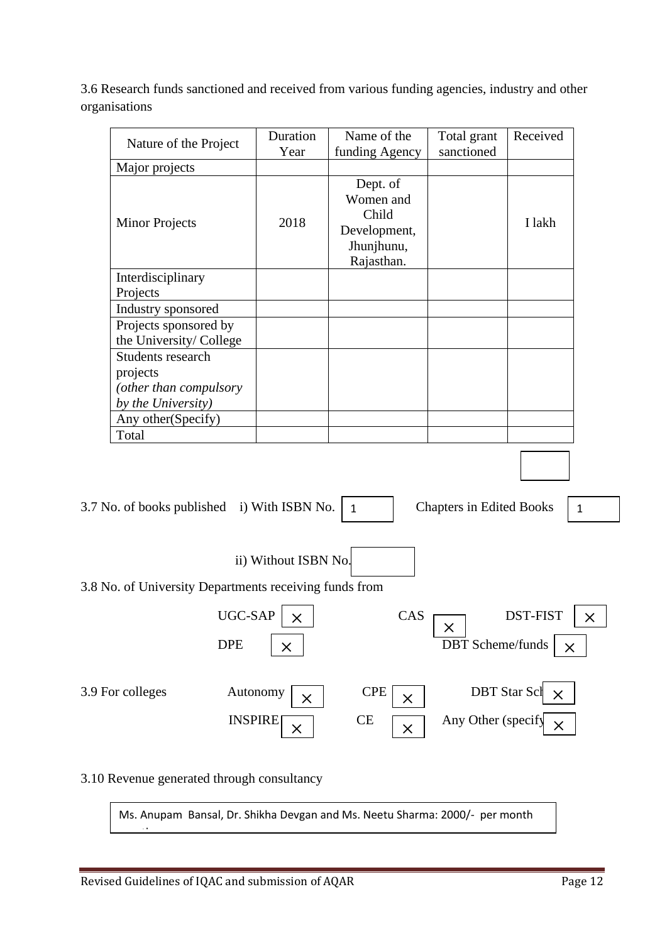3.6 Research funds sanctioned and received from various funding agencies, industry and other organisations

| Nature of the Project                                                         | Duration<br>Year                     | Name of the<br>funding Agency                                              | Total grant<br>sanctioned       | Received                                    |              |
|-------------------------------------------------------------------------------|--------------------------------------|----------------------------------------------------------------------------|---------------------------------|---------------------------------------------|--------------|
| Major projects                                                                |                                      |                                                                            |                                 |                                             |              |
| <b>Minor Projects</b>                                                         | 2018                                 | Dept. of<br>Women and<br>Child<br>Development,<br>Jhunjhunu,<br>Rajasthan. |                                 | I lakh                                      |              |
| Interdisciplinary<br>Projects                                                 |                                      |                                                                            |                                 |                                             |              |
| Industry sponsored                                                            |                                      |                                                                            |                                 |                                             |              |
| Projects sponsored by<br>the University/College                               |                                      |                                                                            |                                 |                                             |              |
| Students research<br>projects<br>(other than compulsory<br>by the University) |                                      |                                                                            |                                 |                                             |              |
| Any other(Specify)                                                            |                                      |                                                                            |                                 |                                             |              |
| Total                                                                         |                                      |                                                                            |                                 |                                             |              |
| 3.7 No. of books published i) With ISBN No.                                   |                                      | $\mathbf{1}$                                                               | <b>Chapters in Edited Books</b> |                                             | $\mathbf{1}$ |
|                                                                               | ii) Without ISBN No.                 |                                                                            |                                 |                                             |              |
|                                                                               |                                      |                                                                            |                                 |                                             |              |
| 3.8 No. of University Departments receiving funds from                        |                                      |                                                                            |                                 |                                             |              |
| UGC-SAP                                                                       | $\times$                             | CAS                                                                        | X                               | <b>DST-FIST</b>                             | $\times$     |
| <b>DPE</b>                                                                    | $\times$                             |                                                                            | <b>DBT</b> Scheme/funds         |                                             | $\times$     |
| 3.9 For colleges                                                              | Autonomy<br>X<br><b>INSPIRE</b><br>× | <b>CPE</b><br>X<br><b>CE</b><br>$\times$                                   | Any Other (specify              | <b>DBT</b> Star Scl<br>$\times$<br>$\times$ |              |
|                                                                               |                                      |                                                                            |                                 |                                             |              |

3.10 Revenue generated through consultancy

<u>month</u>

Ms. Anupam Bansal, Dr. Shikha Devgan and Ms. Neetu Sharma: 2000/- per month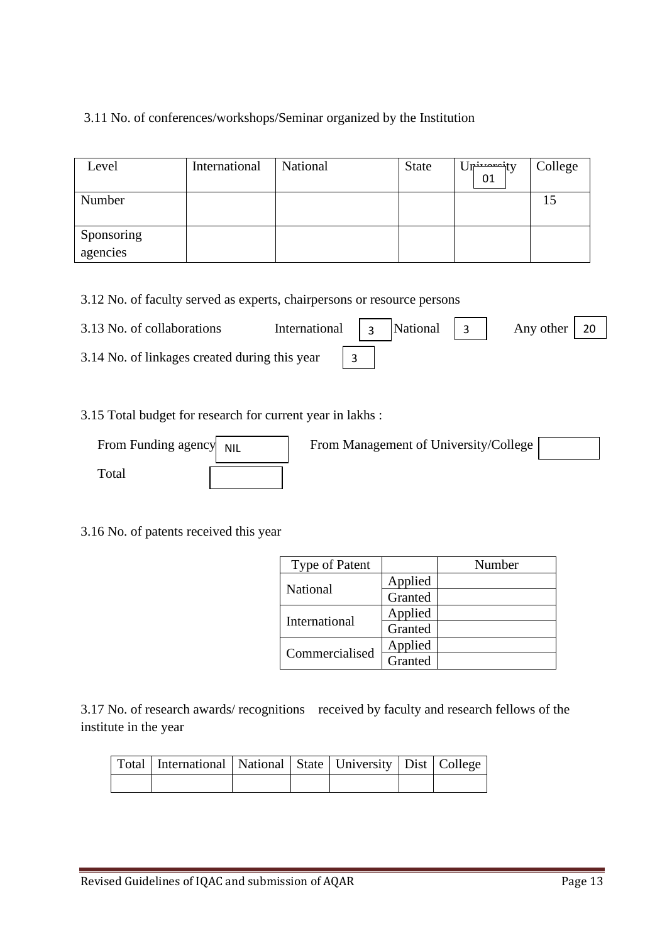# 3.11 No. of conferences/workshops/Seminar organized by the Institution

| Level                  | International | National | <b>State</b> | Jn <del>ivoroj</del> ty<br>01 | College |
|------------------------|---------------|----------|--------------|-------------------------------|---------|
| Number                 |               |          |              |                               |         |
| Sponsoring<br>agencies |               |          |              |                               |         |

3.12 No. of faculty served as experts, chairpersons or resource persons

| 3.13 No. of collaborations                    | International $\begin{vmatrix} 3 \\ 2 \end{vmatrix}$ National $\begin{vmatrix} 3 \\ 3 \end{vmatrix}$ |  |  | Any other $\vert$ 20 |  |
|-----------------------------------------------|------------------------------------------------------------------------------------------------------|--|--|----------------------|--|
| 3.14 No. of linkages created during this year |                                                                                                      |  |  |                      |  |

#### 3.15 Total budget for research for current year in lakhs :

| From Funding agency NIL | From Management of University/College |  |
|-------------------------|---------------------------------------|--|
| Total                   |                                       |  |

3.16 No. of patents received this year

| <b>Type of Patent</b> |         | Number |
|-----------------------|---------|--------|
| National              | Applied |        |
|                       | Granted |        |
| International         | Applied |        |
|                       | Granted |        |
| Commercialised        | Applied |        |
|                       | Granted |        |

3.17 No. of research awards/ recognitions received by faculty and research fellows of the institute in the year

| Total   International   National   State   University   Dist   College |  |  |  |
|------------------------------------------------------------------------|--|--|--|
|                                                                        |  |  |  |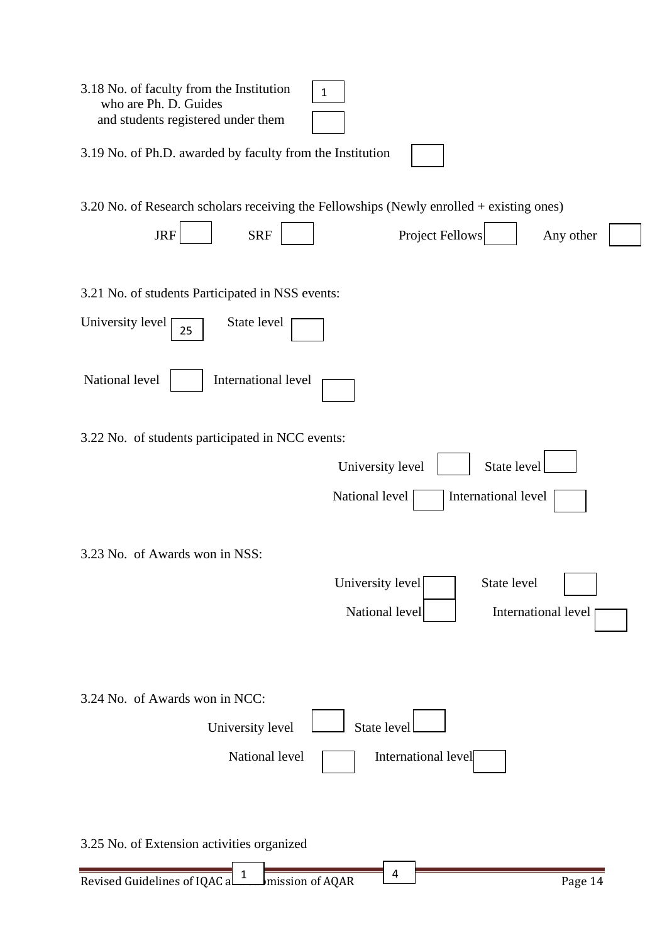| 3.18 No. of faculty from the Institution<br>$\mathbf{1}$<br>who are Ph. D. Guides<br>and students registered under them |
|-------------------------------------------------------------------------------------------------------------------------|
| 3.19 No. of Ph.D. awarded by faculty from the Institution                                                               |
| 3.20 No. of Research scholars receiving the Fellowships (Newly enrolled + existing ones)                                |
| <b>JRF</b><br><b>SRF</b><br><b>Project Fellows</b><br>Any other                                                         |
| 3.21 No. of students Participated in NSS events:                                                                        |
| State level<br>University level<br>25                                                                                   |
| National level<br>International level                                                                                   |
| 3.22 No. of students participated in NCC events:                                                                        |
| State level<br>University level                                                                                         |
| National level<br>International level                                                                                   |
| 3.23 No. of Awards won in NSS:                                                                                          |
| University level<br>State level<br>National level<br>International level                                                |
| 3.24 No. of Awards won in NCC:<br>State level<br>University level                                                       |
| National level<br>International level                                                                                   |
| 3.25 No. of Extension activities organized                                                                              |
| 4<br>Revised Guidelines of IQAC and mission of AQAR<br>Page 14                                                          |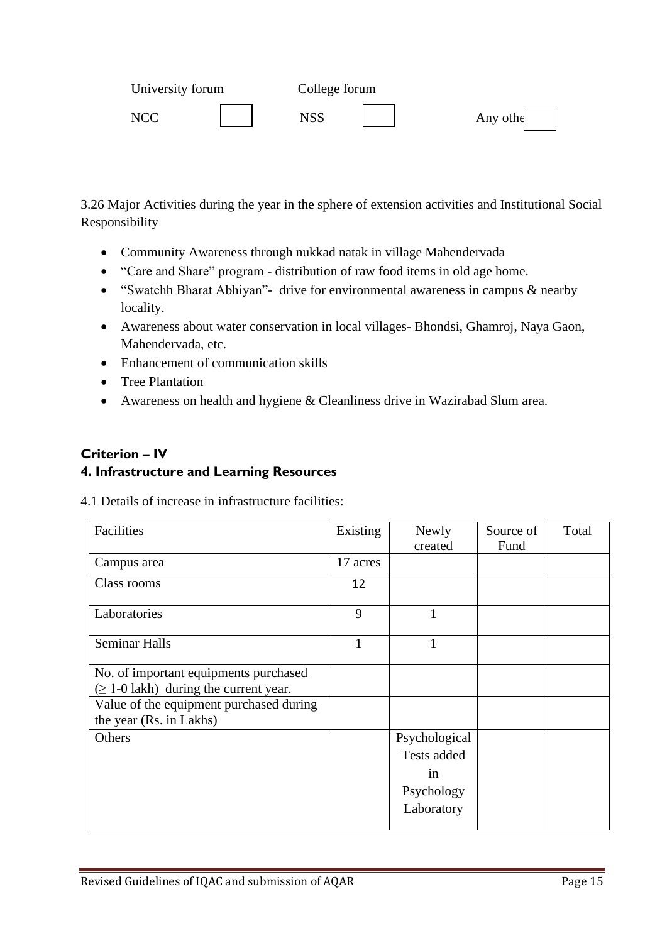| University forum | College forum |          |
|------------------|---------------|----------|
| NCC              | NSS           | Any othe |

3.26 Major Activities during the year in the sphere of extension activities and Institutional Social Responsibility

- Community Awareness through nukkad natak in village Mahendervada
- "Care and Share" program distribution of raw food items in old age home.
- "Swatchh Bharat Abhiyan"- drive for environmental awareness in campus & nearby locality.
- Awareness about water conservation in local villages- Bhondsi, Ghamroj, Naya Gaon, Mahendervada, etc.
- Enhancement of communication skills
- Tree Plantation
- Awareness on health and hygiene & Cleanliness drive in Wazirabad Slum area.

## **Criterion – IV**

### **4. Infrastructure and Learning Resources**

4.1 Details of increase in infrastructure facilities:

| Facilities                                  | Existing | Newly         | Source of | Total |
|---------------------------------------------|----------|---------------|-----------|-------|
|                                             |          | created       | Fund      |       |
| Campus area                                 | 17 acres |               |           |       |
| Class rooms                                 | 12       |               |           |       |
| Laboratories                                | 9        | 1             |           |       |
| <b>Seminar Halls</b>                        |          |               |           |       |
| No. of important equipments purchased       |          |               |           |       |
| $(\geq 1$ -0 lakh) during the current year. |          |               |           |       |
| Value of the equipment purchased during     |          |               |           |       |
| the year (Rs. in Lakhs)                     |          |               |           |       |
| Others                                      |          | Psychological |           |       |
|                                             |          | Tests added   |           |       |
|                                             |          | in            |           |       |
|                                             |          | Psychology    |           |       |
|                                             |          | Laboratory    |           |       |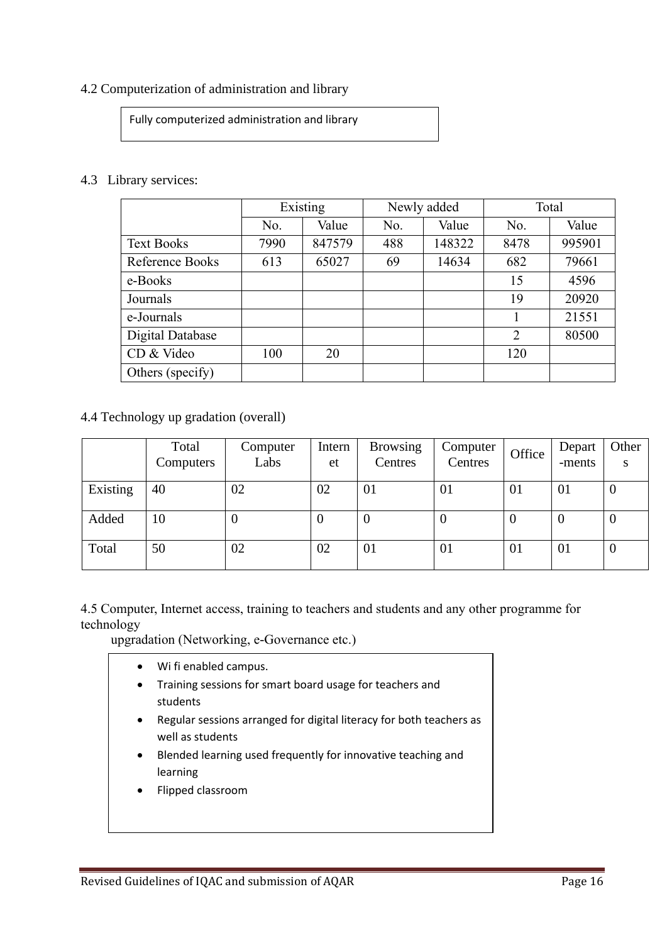#### 4.2 Computerization of administration and library

Fully computerized administration and library

#### 4.3 Library services:

|                   | Existing |        | Newly added |        | Total          |        |
|-------------------|----------|--------|-------------|--------|----------------|--------|
|                   | No.      | Value  | No.         | Value  | No.            | Value  |
| <b>Text Books</b> | 7990     | 847579 | 488         | 148322 | 8478           | 995901 |
| Reference Books   | 613      | 65027  | 69          | 14634  | 682            | 79661  |
| e-Books           |          |        |             |        | 15             | 4596   |
| Journals          |          |        |             |        | 19             | 20920  |
| e-Journals        |          |        |             |        |                | 21551  |
| Digital Database  |          |        |             |        | $\overline{2}$ | 80500  |
| CD & Video        | 100      | 20     |             |        | 120            |        |
| Others (specify)  |          |        |             |        |                |        |

4.4 Technology up gradation (overall)

|          | Total<br>Computers | Computer<br>Labs | Intern<br>et | <b>Browsing</b><br>Centres | Computer<br>Centres | Office   | Depart<br>-ments | Other<br>S     |
|----------|--------------------|------------------|--------------|----------------------------|---------------------|----------|------------------|----------------|
| Existing | 40                 | 02               | 02           | 01                         | 01                  | 01       | 01               | O              |
| Added    | 10                 | U                | O            | $\boldsymbol{0}$           | 0                   | $\theta$ | $\theta$         | $\overline{0}$ |
| Total    | 50                 | 02               | 02           | 01                         | 01                  | 01       | 01               | U              |

4.5 Computer, Internet access, training to teachers and students and any other programme for technology

upgradation (Networking, e-Governance etc.)

- Wi fi enabled campus.
- Training sessions for smart board usage for teachers and students
- Regular sessions arranged for digital literacy for both teachers as well as students
- Blended learning used frequently for innovative teaching and learning
- Flipped classroom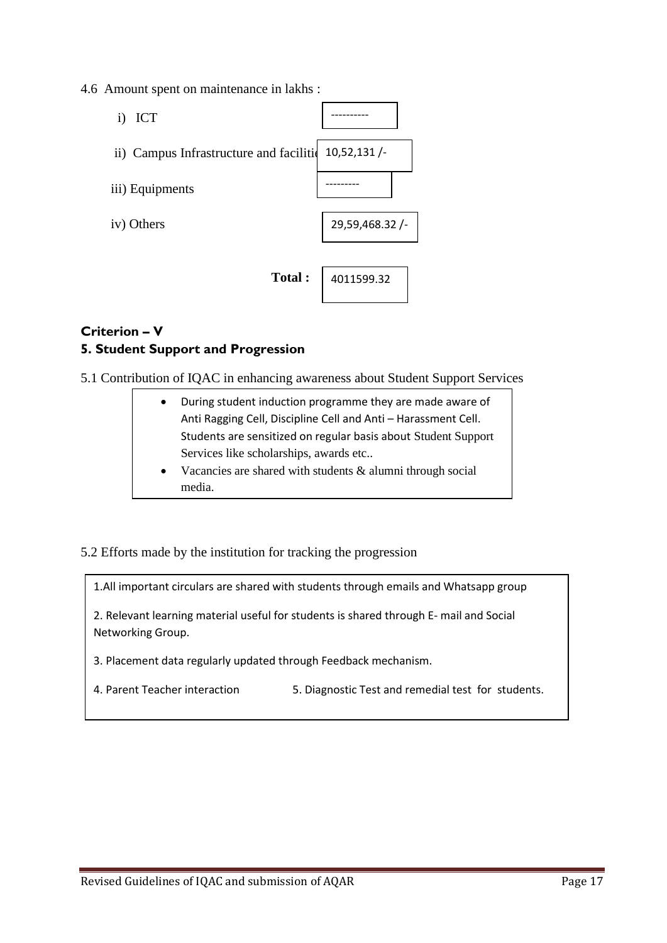4.6 Amount spent on maintenance in lakhs :



# **Criterion – V 5. Student Support and Progression**

5.1 Contribution of IQAC in enhancing awareness about Student Support Services

| During student induction programme they are made aware of      |
|----------------------------------------------------------------|
| Anti Ragging Cell, Discipline Cell and Anti - Harassment Cell. |
| Students are sensitized on regular basis about Student Support |
| Services like scholarships, awards etc                         |

- Vacancies are shared with students & alumni through social media.
- 5.2 Efforts made by the institution for tracking the progression

1.All important circulars are shared with students through emails and Whatsapp group

2. Relevant learning material useful for students is shared through E- mail and Social Networking Group.

- 3. Placement data regularly updated through Feedback mechanism.
- 4. Parent Teacher interaction 5. Diagnostic Test and remedial test for students.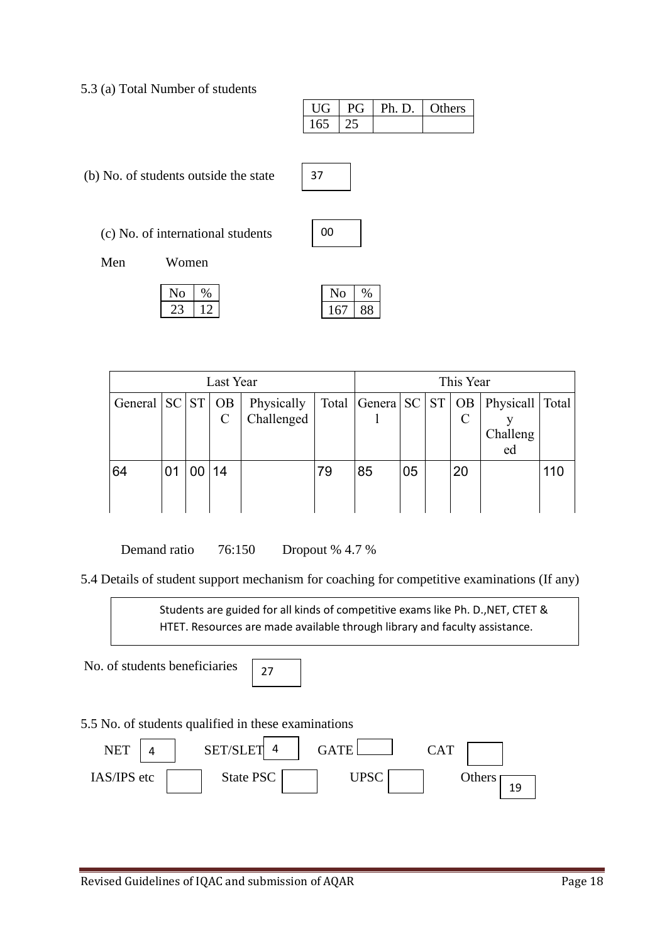5.3 (a) Total Number of students

| $\prod$ | $P$ $\widetilde{I}$ | Ph. D.   Others |  |
|---------|---------------------|-----------------|--|
| 165     |                     |                 |  |

(b) No. of students outside the state

(c) No. of international students

| ωo |  |
|----|--|

37

Men Women

| N <sub>0</sub> |     |
|----------------|-----|
| 22             | י ו |

| Last Year            |    |    |               | This Year                |    |                              |    |  |    |                                       |     |
|----------------------|----|----|---------------|--------------------------|----|------------------------------|----|--|----|---------------------------------------|-----|
| General $ SC ST OB $ |    |    | $\mathcal{C}$ | Physically<br>Challenged |    | Total $ General SC  ST   OB$ |    |  |    | Physicall   Total  <br>Challeng<br>ed |     |
| 64                   | 01 | 00 | 14            |                          | 79 | 85                           | 05 |  | 20 |                                       | 110 |

Demand ratio 76:150 Dropout % 4.7 %

5.4 Details of student support mechanism for coaching for competitive examinations (If any)

Students are guided for all kinds of competitive exams like Ph. D.,NET, CTET & HTET. Resources are made available through library and faculty assistance.

No. of students beneficiaries

27

5.5 No. of students qualified in these examinations

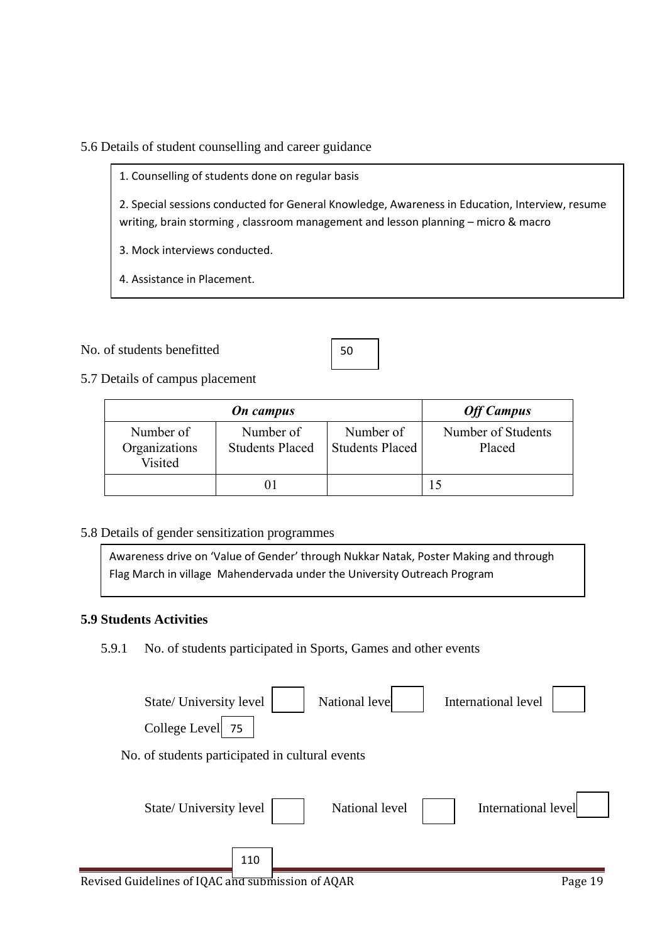5.6 Details of student counselling and career guidance

1. Counselling of students done on regular basis

2. Special sessions conducted for General Knowledge, Awareness in Education, Interview, resume writing, brain storming , classroom management and lesson planning – micro & macro

3. Mock interviews conducted.

4. Assistance in Placement.

#### No. of students benefitted

| w<br>۰.<br>۰. |  |
|---------------|--|
|               |  |

5.7 Details of campus placement

|                                       | <b>On</b> campus                    |                                     | <b>Off Campus</b>            |
|---------------------------------------|-------------------------------------|-------------------------------------|------------------------------|
| Number of<br>Organizations<br>Visited | Number of<br><b>Students Placed</b> | Number of<br><b>Students Placed</b> | Number of Students<br>Placed |
|                                       |                                     |                                     |                              |

#### 5.8 Details of gender sensitization programmes

Awareness drive on 'Value of Gender' through Nukkar Natak, Poster Making and through Flag March in village Mahendervada under the University Outreach Program

#### **5.9 Students Activities**

5.9.1 No. of students participated in Sports, Games and other events

| State/ University level<br>College Level<br>75  | National level | International level |
|-------------------------------------------------|----------------|---------------------|
| No. of students participated in cultural events |                |                     |
| State/ University level                         | National level | International level |
| 110                                             |                |                     |

Revised Guidelines of IQAC and submission of AQAR Page 19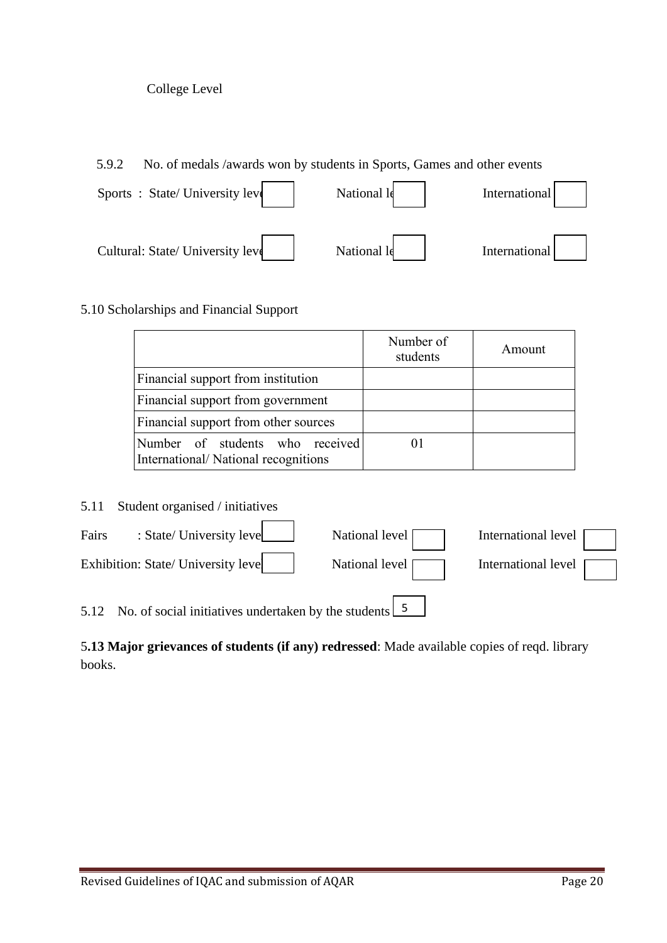#### College Level

5.9.2 No. of medals /awards won by students in Sports, Games and other events

| Sports: State/University level    | National le | International |
|-----------------------------------|-------------|---------------|
| Cultural: State/ University level | National le | International |

## 5.10 Scholarships and Financial Support

|                                                                        | Number of<br>students | Amount |
|------------------------------------------------------------------------|-----------------------|--------|
| Financial support from institution                                     |                       |        |
| Financial support from government                                      |                       |        |
| Financial support from other sources                                   |                       |        |
| Number of students who received<br>International/National recognitions |                       |        |

5.11 Student organised / initiatives

| Fairs | : State/ University leve                                                | National level | International level   |
|-------|-------------------------------------------------------------------------|----------------|-----------------------|
|       | Exhibition: State/ University leve                                      | National level | International level [ |
|       | 5.12 No. of social initiatives undertaken by the students $\frac{5}{5}$ |                |                       |

5**.13 Major grievances of students (if any) redressed**: Made available copies of reqd. library books.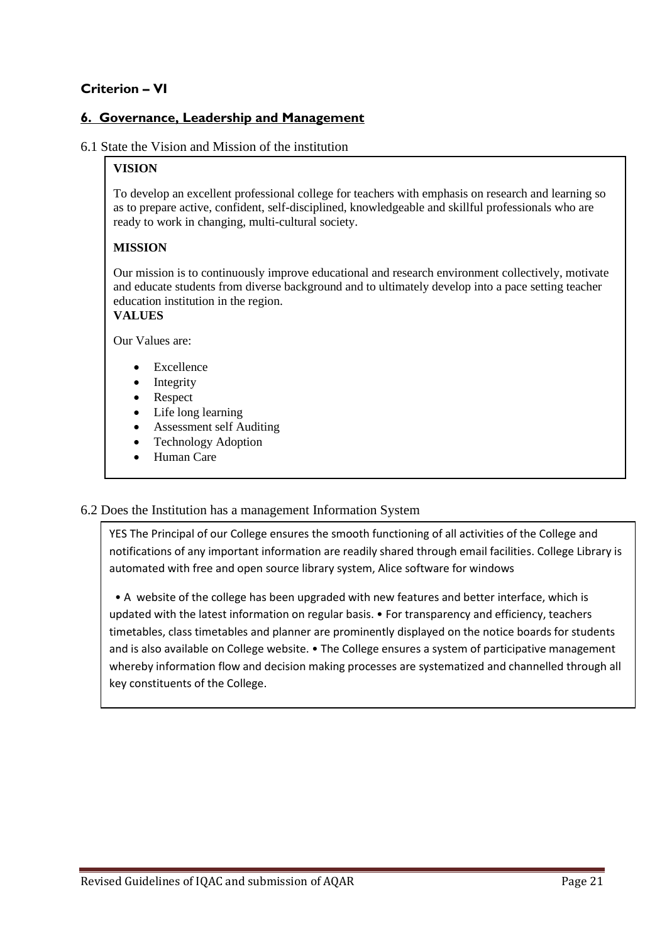# **Criterion – VI**

### **6. Governance, Leadership and Management**

#### 6.1 State the Vision and Mission of the institution

#### **VISION**

To develop an excellent professional college for teachers with emphasis on research and learning so as to prepare active, confident, self-disciplined, knowledgeable and skillful professionals who are ready to work in changing, multi-cultural society.

#### **MISSION**

Our mission is to continuously improve educational and research environment collectively, motivate and educate students from diverse background and to ultimately develop into a pace setting teacher education institution in the region.

#### **VALUES**

Our Values are:

- **Excellence**
- **Integrity**
- Respect
- Life long learning
- Assessment self Auditing
- Technology Adoption
- Human Care

#### 6.2 Does the Institution has a management Information System

YES The Principal of our College ensures the smooth functioning of all activities of the College and notifications of any important information are readily shared through email facilities. College Library is automated with free and open source library system, Alice software for windows

 • A website of the college has been upgraded with new features and better interface, which is updated with the latest information on regular basis. • For transparency and efficiency, teachers timetables, class timetables and planner are prominently displayed on the notice boards for students and is also available on College website. • The College ensures a system of participative management whereby information flow and decision making processes are systematized and channelled through all key constituents of the College.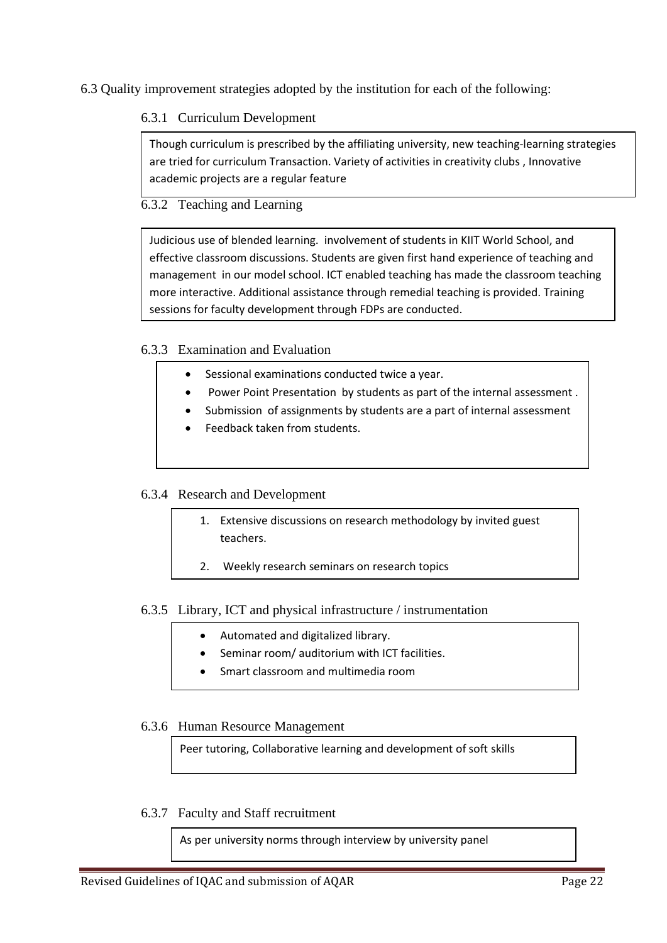6.3 Quality improvement strategies adopted by the institution for each of the following:

### 6.3.1 Curriculum Development

Though curriculum is prescribed by the affiliating university, new teaching-learning strategies are tried for curriculum Transaction. Variety of activities in creativity clubs , Innovative academic projects are a regular feature

## 6.3.2 Teaching and Learning

Judicious use of blended learning. involvement of students in KIIT World School, and effective classroom discussions. Students are given first hand experience of teaching and management in our model school. ICT enabled teaching has made the classroom teaching more interactive. Additional assistance through remedial teaching is provided. Training sessions for faculty development through FDPs are conducted.

#### 6.3.3 Examination and Evaluation

- Sessional examinations conducted twice a year.
	- Power Point Presentation by students as part of the internal assessment .
	- Submission of assignments by students are a part of internal assessment
	- Feedback taken from students.

#### 6.3.4 Research and Development

- 1. Extensive discussions on research methodology by invited guest teachers.
- 2. Weekly research seminars on research topics

#### 6.3.5 Library, ICT and physical infrastructure / instrumentation

- Automated and digitalized library.
- Seminar room/ auditorium with ICT facilities.
- Smart classroom and multimedia room

#### 6.3.6 Human Resource Management

Peer tutoring, Collaborative learning and development of soft skills

6.3.7 Faculty and Staff recruitment

As per university norms through interview by university panel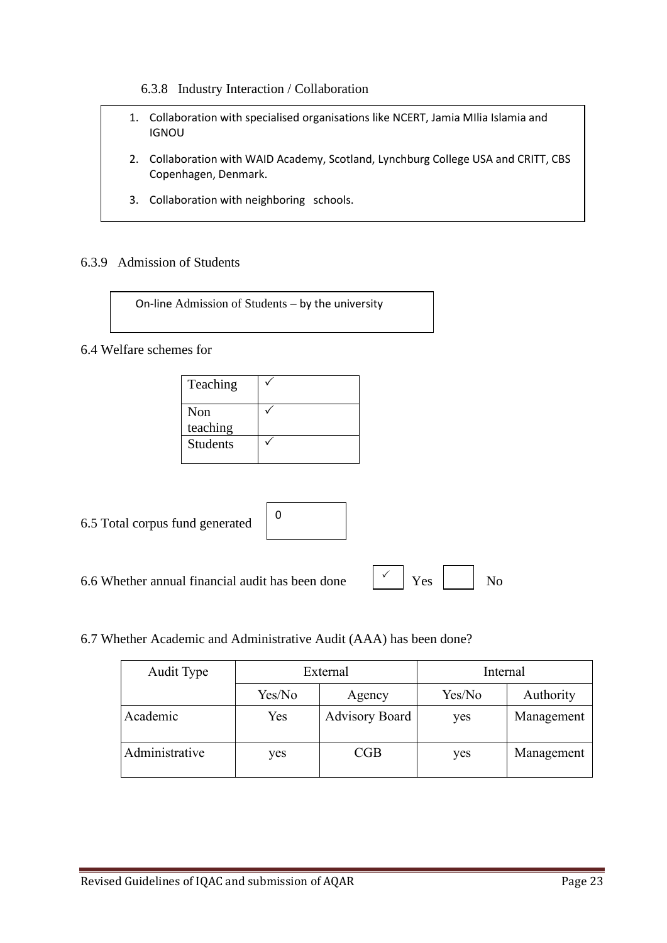6.3.8 Industry Interaction / Collaboration

- 1. Collaboration with specialised organisations like NCERT, Jamia MIlia Islamia and IGNOU
- 2. Collaboration with WAID Academy, Scotland, Lynchburg College USA and CRITT, CBS Copenhagen, Denmark.
- 3. Collaboration with neighboring schools.

4. Organizing Inter College Competitions

#### 6.3.9 Admission of Students

On-line Admission of Students – by the university

#### 6.4 Welfare schemes for

| Teaching                    |  |
|-----------------------------|--|
| Non                         |  |
| teaching<br><b>Students</b> |  |
|                             |  |

6.5 Total corpus fund generated

| 0 |  |  |  |
|---|--|--|--|
|   |  |  |  |

6.6 Whether annual financial audit has been done  $\begin{vmatrix} \checkmark & \checkmark \end{vmatrix}$  Yes  $\begin{vmatrix} \checkmark & \checkmark \end{vmatrix}$  No

 $\checkmark$ 

#### 6.7 Whether Academic and Administrative Audit (AAA) has been done?

| Audit Type     | External |                       | Internal |            |  |
|----------------|----------|-----------------------|----------|------------|--|
|                | Yes/No   | Agency                | Yes/No   | Authority  |  |
| Academic       | Yes      | <b>Advisory Board</b> | yes      | Management |  |
| Administrative | yes      | CGB                   | yes      | Management |  |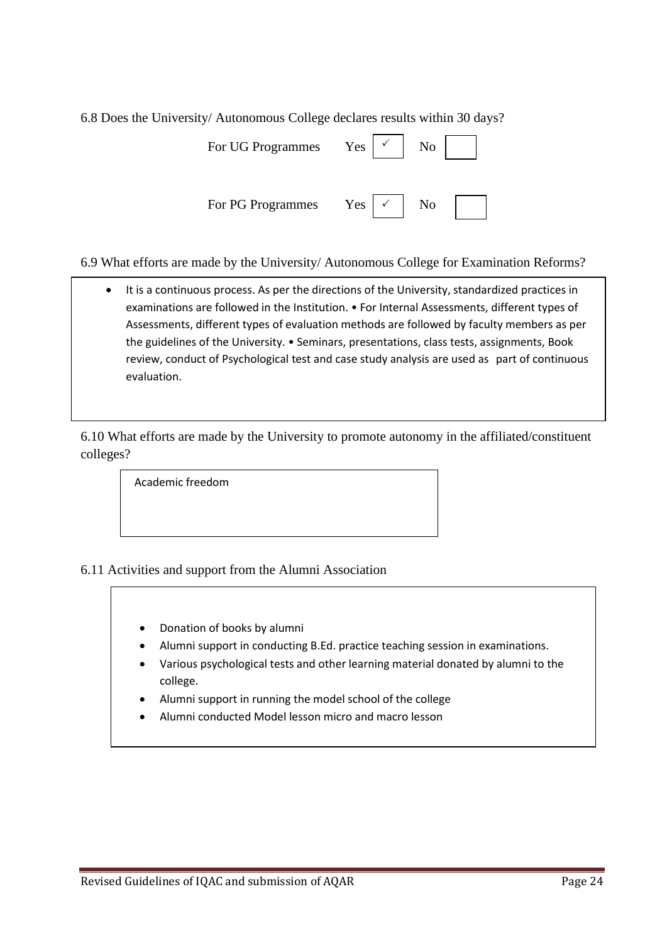6.8 Does the University/ Autonomous College declares results within 30 days?

| For UG Programmes | Yes | No |
|-------------------|-----|----|
| For PG Programmes | Yes | No |

6.9 What efforts are made by the University/ Autonomous College for Examination Reforms?

• It is a continuous process. As per the directions of the University, standardized practices in examinations are followed in the Institution. • For Internal Assessments, different types of Assessments, different types of evaluation methods are followed by faculty members as per the guidelines of the University. • Seminars, presentations, class tests, assignments, Book review, conduct of Psychological test and case study analysis are used as part of continuous evaluation.

6.10 What efforts are made by the University to promote autonomy in the affiliated/constituent colleges?

Academic freedom

6.11 Activities and support from the Alumni Association

- Donation of books by alumni
- Alumni support in conducting B.Ed. practice teaching session in examinations.
- Various psychological tests and other learning material donated by alumni to the college.
- Alumni support in running the model school of the college
- Alumni conducted Model lesson micro and macro lesson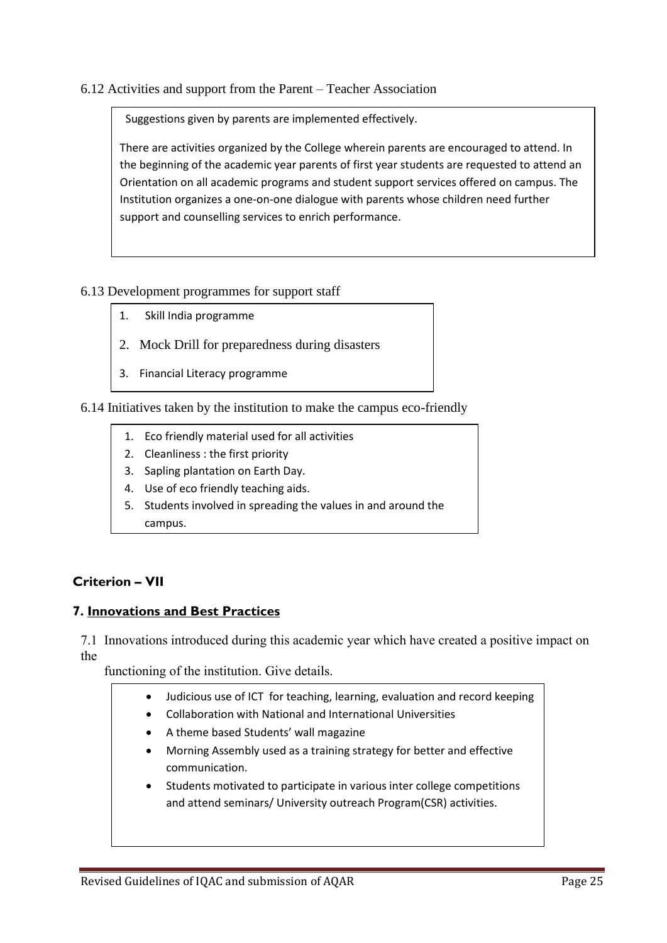#### 6.12 Activities and support from the Parent – Teacher Association

Suggestions given by parents are implemented effectively.

There are activities organized by the College wherein parents are encouraged to attend. In the beginning of the academic year parents of first year students are requested to attend an Orientation on all academic programs and student support services offered on campus. The Institution organizes a one-on-one dialogue with parents whose children need further support and counselling services to enrich performance.

#### 6.13 Development programmes for support staff

- 1. Skill India programme
- 2. Mock Drill for preparedness during disasters
- 3. Financial Literacy programme

6.14 Initiatives taken by the institution to make the campus eco-friendly

- 1. Eco friendly material used for all activities
- 2. Cleanliness : the first priority
- 3. Sapling plantation on Earth Day.
- 4. Use of eco friendly teaching aids.
- 5. Students involved in spreading the values in and around the campus.

# **Criterion – VII**

#### **7. Innovations and Best Practices**

7.1 Innovations introduced during this academic year which have created a positive impact on the

functioning of the institution. Give details.

- Judicious use of ICT for teaching, learning, evaluation and record keeping
- Collaboration with National and International Universities
- A theme based Students' wall magazine
- Morning Assembly used as a training strategy for better and effective communication.
- Students motivated to participate in various inter college competitions and attend seminars/ University outreach Program(CSR) activities.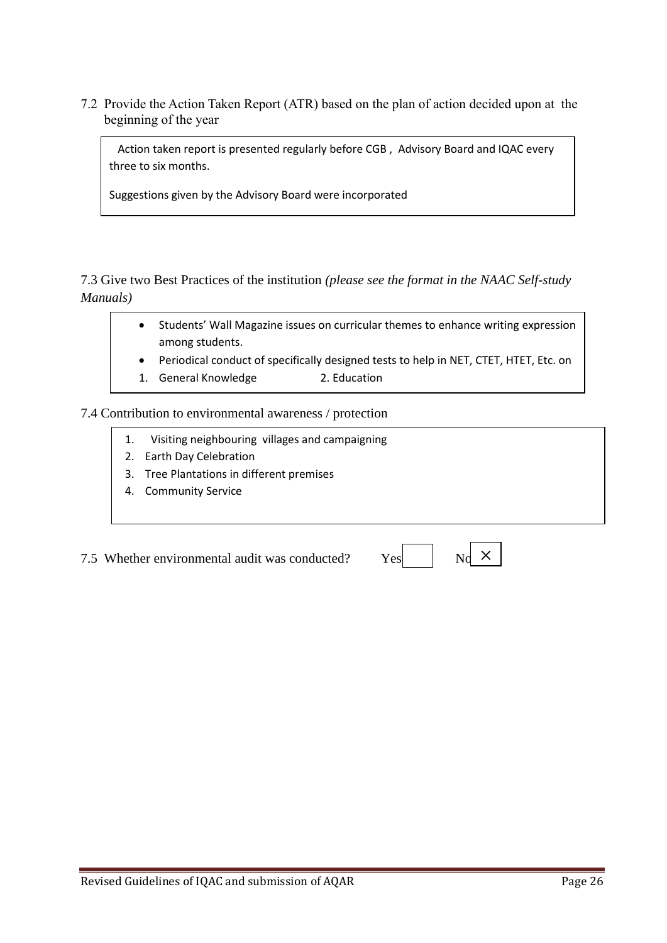7.2 Provide the Action Taken Report (ATR) based on the plan of action decided upon at the beginning of the year

 Action taken report is presented regularly before CGB , Advisory Board and IQAC every three to six months.

Suggestions given by the Advisory Board were incorporated

7.3 Give two Best Practices of the institution *(please see the format in the NAAC Self-study Manuals)*

- Students' Wall Magazine issues on curricular themes to enhance writing expression among students.
- Periodical conduct of specifically designed tests to help in NET, CTET, HTET, Etc. on
- 1. General Knowledge 2. Education

7.4 Contribution to environmental awareness / protection

- 1. Visiting neighbouring villages and campaigning
- 2. Earth Day Celebration
- 3. Tree Plantations in different premises
- 4. Community Service

7.5 Whether environmental audit was conducted?  $Y_6$ 

|--|--|--|--|

 $\times$ 

Revised Guidelines of IQAC and submission of AQAR Page 26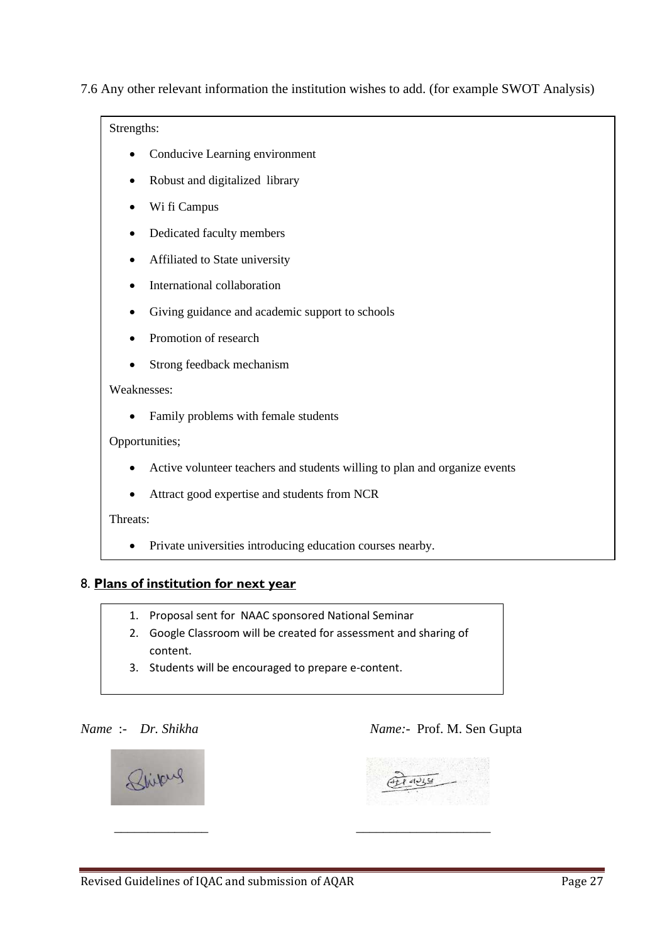7.6 Any other relevant information the institution wishes to add. (for example SWOT Analysis)

Strengths:

- Conducive Learning environment
- Robust and digitalized library
- Wi fi Campus
- Dedicated faculty members
- Affiliated to State university
- International collaboration
- Giving guidance and academic support to schools
- Promotion of research
- Strong feedback mechanism

#### Weaknesses:

• Family problems with female students

Opportunities;

- Active volunteer teachers and students willing to plan and organize events
- Attract good expertise and students from NCR

Threats:

• Private universities introducing education courses nearby.

#### 8. **Plans of institution for next year**

- 1. Proposal sent for NAAC sponsored National Seminar
- 2. Google Classroom will be created for assessment and sharing of content.
- 3. Students will be encouraged to prepare e-content.

#### *Name* :- *Dr. Shikha Name:*- Prof. M. Sen Gupta